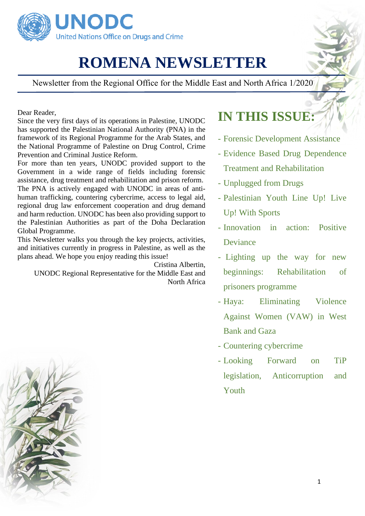

## **ROMENA NEWSLETTER**

Newsletter from the Regional Office for the Middle East and North Africa 1/2020

Dear Reader,

Since the very first days of its operations in Palestine, UNODC has supported the Palestinian National Authority (PNA) in the framework of its Regional Programme for the Arab States, and the National Programme of Palestine on Drug Control, Crime Prevention and Criminal Justice Reform.

For more than ten years, UNODC provided support to the Government in a wide range of fields including forensic assistance, drug treatment and rehabilitation and prison reform. The PNA is actively engaged with UNODC in areas of antihuman trafficking, countering cybercrime, access to legal aid, regional drug law enforcement cooperation and drug demand and harm reduction. UNODC has been also providing support to the Palestinian Authorities as part of the Doha Declaration Global Programme.

This Newsletter walks you through the key projects, activities, and initiatives currently in progress in Palestine, as well as the plans ahead. We hope you enjoy reading this issue!

Cristina Albertin, UNODC Regional Representative for the Middle East and North Africa

### **IN THIS ISSUE:**

- Forensic Development Assistance
- Evidence Based Drug Dependence Treatment and Rehabilitation
- Unplugged from Drugs
- Palestinian Youth Line Up! Live Up! With Sports
- Innovation in action: Positive Deviance
- Lighting up the way for new beginnings: Rehabilitation of prisoners programme
- Haya: Eliminating Violence Against Women (VAW) in West Bank and Gaza
- Countering cybercrime
- Looking Forward on TiP legislation, Anticorruption and Youth

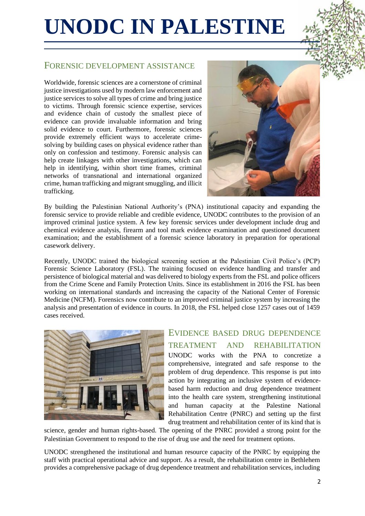## **UNODC IN PALESTINE**

#### FORENSIC DEVELOPMENT ASSISTANCE

Worldwide, forensic sciences are a cornerstone of criminal justice investigations used by modern law enforcement and justice services to solve all types of crime and bring justice to victims. Through forensic science expertise, services and evidence chain of custody the smallest piece of evidence can provide invaluable information and bring solid evidence to court. Furthermore, forensic sciences provide extremely efficient ways to accelerate crimesolving by building cases on physical evidence rather than only on confession and testimony. Forensic analysis can help create linkages with other investigations, which can help in identifying, within short time frames, criminal networks of transnational and international organized crime, human trafficking and migrant smuggling, and illicit trafficking.



By building the Palestinian National Authority's (PNA) institutional capacity and expanding the forensic service to provide reliable and credible evidence, UNODC contributes to the provision of an improved criminal justice system. A few key forensic services under development include drug and chemical evidence analysis, firearm and tool mark evidence examination and questioned document examination; and the establishment of a forensic science laboratory in preparation for operational casework delivery.

Recently, UNODC trained the biological screening section at the Palestinian Civil Police's (PCP) Forensic Science Laboratory (FSL). The training focused on evidence handling and transfer and persistence of biological material and was delivered to biology experts from the FSL and police officers from the Crime Scene and Family Protection Units. Since its establishment in 2016 the FSL has been working on international standards and increasing the capacity of the National Center of Forensic Medicine (NCFM). Forensics now contribute to an improved criminal justice system by increasing the analysis and presentation of evidence in courts. In 2018, the FSL helped close 1257 cases out of 1459 cases received.



EVIDENCE BASED DRUG DEPENDENCE TREATMENT AND REHABILITATION UNODC works with the PNA to concretize a comprehensive, integrated and safe response to the problem of drug dependence. This response is put into action by integrating an inclusive system of evidencebased harm reduction and drug dependence treatment into the health care system, strengthening institutional and human capacity at the Palestine National Rehabilitation Centre (PNRC) and setting up the first drug treatment and rehabilitation center of its kind that is

science, gender and human rights-based. The opening of the PNRC provided a strong point for the Palestinian Government to respond to the rise of drug use and the need for treatment options.

UNODC strengthened the institutional and human resource capacity of the PNRC by equipping the staff with practical operational advice and support. As a result, the rehabilitation centre in Bethlehem provides a comprehensive package of drug dependence treatment and rehabilitation services, including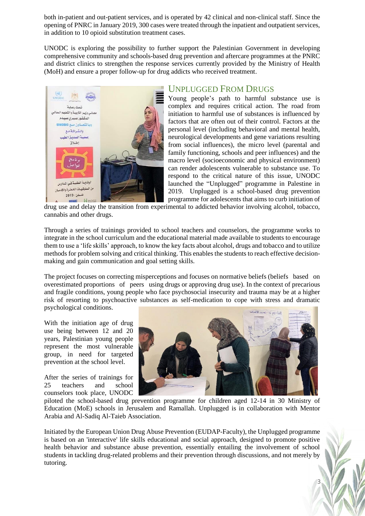both in-patient and out-patient services, and is operated by 42 clinical and non-clinical staff. Since the opening of PNRC in January 2019, 300 cases were treated through the inpatient and outpatient services, in addition to 10 opioid substitution treatment cases.

UNODC is exploring the possibility to further support the Palestinian Government in developing comprehensive community and schools-based drug prevention and aftercare programmes at the PNRC and district clinics to strengthen the response services currently provided by the Ministry of Health (MoH) and ensure a proper follow-up for drug addicts who received treatment.



#### U[NPLUGGED](https://www.unodc.org/middleeastandnorthafrica/en/web-stories/unplugged-from-drugs_-palestine-launches-a-school-based-drug-prevention-programme.html) FROM DRUGS

Young people's path to harmful substance use is complex and requires critical action. The road from initiation to harmful use of substances is influenced by factors that are often out of their control. Factors at the personal level (including behavioral and mental health, neurological developments and gene variations resulting from social influences), the micro level (parental and family functioning, schools and peer influences) and the macro level (socioeconomic and physical environment) can render adolescents vulnerable to substance use. To respond to the critical nature of this issue, UNODC launched the "Unplugged" programme in Palestine in 2019. Unplugged is a school-based drug prevention programme for adolescents that aims to curb initiation of

drug use and delay the transition from experimental to addicted behavior involving alcohol, tobacco, cannabis and other drugs.

Through a series of trainings provided to school teachers and counselors, the programme works to integrate in the school curriculum and the educational material made available to students to encourage them to use a 'life skills' approach, to know the key facts about alcohol, drugs and tobacco and to utilize methods for problem solving and critical thinking. This enables the students to reach effective decisionmaking and gain communication and goal setting skills.

The project focuses on correcting misperceptions and focuses on normative beliefs (beliefs based on overestimated proportions of peers using drugs or approving drug use). In the context of precarious and fragile conditions, young people who face psychosocial insecurity and trauma may be at a higher risk of resorting to psychoactive substances as self-medication to cope with stress and dramatic psychological conditions.

With the initiation age of drug use being between 12 and 20 years, Palestinian young people represent the most vulnerable group, in need for targeted prevention at the school level.

After the series of trainings for 25 teachers and school counselors took place, UNODC



3

piloted the school-based drug prevention programme for children aged 12-14 in 30 Ministry of Education (MoE) schools in Jerusalem and Ramallah. Unplugged is in collaboration with Mentor Arabia and Al-Sadiq Al-Taieb Association.

Initiated by the European Union Drug Abuse Prevention (EUDAP-Faculty), the Unplugged programme is based on an 'interactive' life skills educational and social approach, designed to promote positive health behavior and substance abuse prevention, essentially entailing the involvement of school students in tackling drug-related problems and their prevention through discussions, and not merely by tutoring.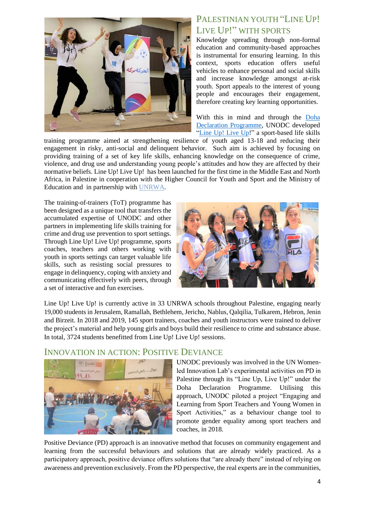

#### P[ALESTINIAN YOUTH](https://www.unodc.org/middleeastandnorthafrica/en/web-stories/with-unodcs-global-programme--palestinian-youth-line-up--live-up-through-sports.html) "LINE UP! LIVE UP!" [WITH SPORTS](https://www.unodc.org/middleeastandnorthafrica/en/web-stories/with-unodcs-global-programme--palestinian-youth-line-up--live-up-through-sports.html)

Knowledge spreading through non-formal education and community-based approaches is instrumental for ensuring learning. In this context, sports education offers useful vehicles to enhance personal and social skills and increase knowledge amongst at-risk youth. Sport appeals to the interest of young people and encourages their engagement, therefore creating key learning opportunities.

With this in mind and through the [Doha](https://www.unodc.org/dohadeclaration/index.html)  [Declaration Programme,](https://www.unodc.org/dohadeclaration/index.html) UNODC developed ["Line Up!](https://www.unodc.org/documents/dohadeclaration/Sports/Trainer_Manual_eBook_final.pdf) Live Up!" a sport-based life skills

training programme aimed at strengthening resilience of youth aged 13-18 and reducing their engagement in risky, anti-social and delinquent behavior. Such aim is achieved by focusing on providing training of a set of key life skills, enhancing knowledge on the consequence of crime, violence, and drug use and understanding young people's attitudes and how they are affected by their normative beliefs. Line Up! Live Up! has been launched for the first time in the Middle East and North Africa, in Palestine in cooperation with the Higher Council for Youth and Sport and the Ministry of Education and in partnership with [UNRWA.](https://www.unrwa.org/)

The training-of-trainers (ToT) programme has been designed as a unique tool that transfers the accumulated expertise of UNODC and other partners in implementing life skills training for crime and drug use prevention to sport settings. Through Line Up! Live Up! programme, sports coaches, teachers and others working with youth in sports settings can target valuable life skills, such as resisting social pressures to engage in delinquency, coping with anxiety and communicating effectively with peers, through a set of interactive and fun exercises.



Line Up! Live Up! is currently active in 33 UNRWA schools throughout Palestine, engaging nearly 19,000 students in Jerusalem, Ramallah, Bethlehem, Jericho, Nablus, Qalqilia, Tulkarem, Hebron, Jenin and Birzeit. In 2018 and 2019, 145 sport trainers, coaches and youth instructors were trained to deliver the project's material and help young girls and boys build their resilience to crime and substance abuse. In total, 3724 students benefitted from Line Up! Live Up! sessions.



#### INNOVATION IN ACTION: POSITIVE DEVIANCE

UNODC previously was involved in the UN Womenled Innovation Lab's experimental activities on PD in Palestine through its "Line Up, Live Up!" under the Doha Declaration Programme. Utilising this approach, UNODC piloted a project "Engaging and Learning from Sport Teachers and Young Women in Sport Activities," as a behaviour change tool to promote gender equality among sport teachers and coaches, in 2018.

Positive Deviance (PD) approach is an innovative method that focuses on community engagement and learning from the successful behaviours and solutions that are already widely practiced. As a participatory approach, positive deviance offers solutions that "are already there" instead of relying on awareness and prevention exclusively. From the PD perspective, the real experts are in the communities,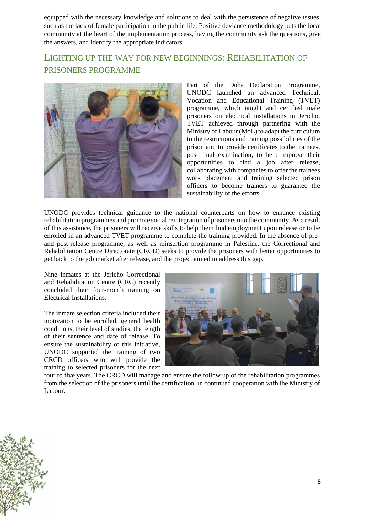equipped with the necessary knowledge and solutions to deal with the persistence of negative issues, such as the lack of female participation in the public life. Positive deviance methodology puts the local community at the heart of the implementation process, having the community ask the questions, give the answers, and identify the appropriate indicators.

#### LIGHTING UP THE WAY FOR NEW BEGINNINGS: REHABILITATION OF PRISONERS PROGRAMME



Part of the Doha Declaration Programme, UNODC launched an advanced Technical, Vocation and Educational Training (TVET) programme, which taught and certified male prisoners on electrical installations in Jericho. TVET achieved through partnering with the Ministry of Labour (MoL) to adapt the curriculum to the restrictions and training possibilities of the prison and to provide certificates to the trainees, post final examination, to help improve their opportunities to find a job after release, collaborating with companies to offer the trainees work placement and training selected prison officers to become trainers to guarantee the sustainability of the efforts.

UNODC provides technical guidance to the national counterparts on how to enhance existing rehabilitation programmes and promote social reintegration of prisoners into the community. As a result of this assistance, the prisoners will receive skills to help them find employment upon release or to be enrolled in an advanced TVET programme to complete the training provided. In the absence of preand post-release programme, as well as reinsertion programme in Palestine, the Correctional and Rehabilitation Centre Directorate (CRCD) seeks to provide the prisoners with better opportunities to get back to the job market after release, and the project aimed to address this gap.

Nine inmates at the Jericho Correctional and Rehabilitation Centre (CRC) recently concluded their four-month training on Electrical Installations.

The inmate selection criteria included their motivation to be enrolled, general health conditions, their level of studies, the length of their sentence and date of release. To ensure the sustainability of this initiative, UNODC supported the training of two CRCD officers who will provide the training to selected prisoners for the next



four to five years. The CRCD will manage and ensure the follow up of the rehabilitation programmes from the selection of the prisoners until the certification, in continued cooperation with the Ministry of Labour.

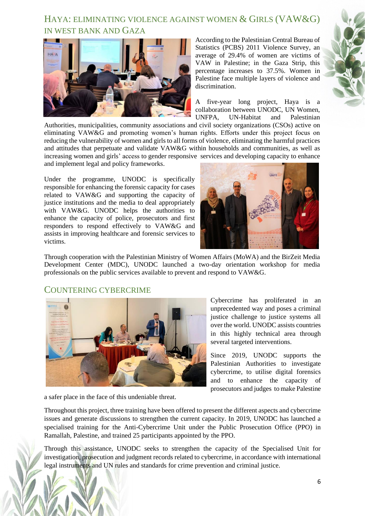#### HAYA: ELIMINATING VIOLENCE AGAINST WOMEN & GIRLS (VAW&G) IN WEST BANK AND GAZA



According to the Palestinian Central Bureau of Statistics (PCBS) 2011 Violence Survey, an average of 29.4% of women are victims of VAW in Palestine; in the Gaza Strip, this percentage increases to 37.5%. Women in Palestine face multiple layers of violence and discrimination.

A five-year long project, Haya is a collaboration between UNODC, UN Women, UNFPA, UN-Habitat and Palestinian

Authorities, municipalities, community associations and civil society organizations (CSOs) active on eliminating VAW&G and promoting women's human rights. Efforts under this project focus on reducing the vulnerability of women and girls to all forms of violence, eliminating the harmful practices and attitudes that perpetuate and validate VAW&G within households and communities, as well as increasing women and girls' access to gender responsive services and developing capacity to enhance and implement legal and policy frameworks.

Under the programme, UNODC is specifically responsible for enhancing the forensic capacity for cases related to VAW&G and supporting the capacity of justice institutions and the media to deal appropriately with VAW&G. UNODC helps the authorities to enhance the capacity of police, prosecutors and first responders to respond effectively to VAW&G and assists in improving healthcare and forensic services to victims.



Through cooperation with the Palestinian Ministry of Women Affairs (MoWA) and the BirZeit Media Development Center (MDC), UNODC launched a two-day orientation workshop for media professionals on the public services available to prevent and respond to VAW&G.

#### COUNTERING CYBERCRIME



Cybercrime has proliferated in an unprecedented way and poses a criminal justice challenge to justice systems all over the world. UNODC assists countries in this highly technical area through several targeted interventions.

Since 2019, UNODC supports the Palestinian Authorities to investigate cybercrime, to utilise digital forensics and to enhance the capacity of prosecutors and judges to make Palestine

a safer place in the face of this undeniable threat.

Throughout this project, three training have been offered to present the different aspects and cybercrime issues and generate discussions to strengthen the current capacity. In 2019, UNODC has launched a specialised training for the Anti-Cybercrime Unit under the Public Prosecution Office (PPO) in Ramallah, Palestine, and trained 25 participants appointed by the PPO.

Through this assistance, UNODC seeks to strengthen the capacity of the Specialised Unit for investigation, prosecution and judgment records related to cybercrime, in accordance with international legal instruments and UN rules and standards for crime prevention and criminal justice.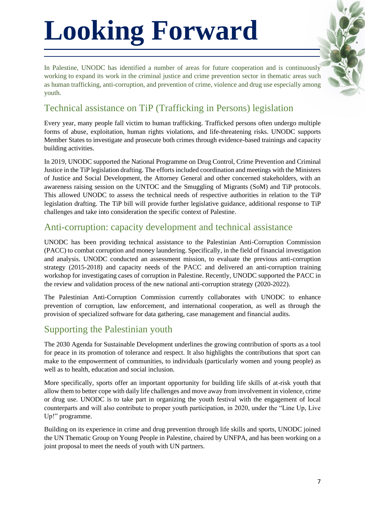# **Looking Forward**

In Palestine, UNODC has identified a number of areas for future cooperation and is continuously working to expand its work in the criminal justice and crime prevention sector in thematic areas such as human trafficking, anti-corruption, and prevention of crime, violence and drug use especially among youth.

#### Technical assistance on TiP (Trafficking in Persons) legislation

Every year, many people fall victim to human trafficking. Trafficked persons often undergo multiple forms of abuse, exploitation, human rights violations, and life-threatening risks. UNODC supports Member States to investigate and prosecute both crimes through evidence-based trainings and capacity building activities.

In 2019, UNODC supported the National Programme on Drug Control, Crime Prevention and Criminal Justice in the TiP legislation drafting. The efforts included coordination and meetings with the Ministers of Justice and Social Development, the Attorney General and other concerned stakeholders, with an awareness raising session on the UNTOC and the Smuggling of Migrants (SoM) and TiP protocols. This allowed UNODC to assess the technical needs of respective authorities in relation to the TiP legislation drafting. The TiP bill will provide further legislative guidance, additional response to TiP challenges and take into consideration the specific context of Palestine.

#### Anti-corruption: capacity development and technical assistance

UNODC has been providing technical assistance to the Palestinian Anti-Corruption Commission (PACC) to combat corruption and money laundering. Specifically, in the field of financial investigation and analysis. UNODC conducted an assessment mission, to evaluate the previous anti-corruption strategy (2015-2018) and capacity needs of the PACC and delivered an anti-corruption training workshop for investigating cases of corruption in Palestine. Recently, UNODC supported the PACC in the review and validation process of the new national anti-corruption strategy (2020-2022).

The Palestinian Anti-Corruption Commission currently collaborates with UNODC to enhance prevention of corruption, law enforcement, and international cooperation, as well as through the provision of specialized software for data gathering, case management and financial audits.

#### Supporting the Palestinian youth

The 2030 Agenda for Sustainable Development underlines the growing contribution of sports as a tool for peace in its promotion of tolerance and respect. It also highlights the contributions that sport can make to the empowerment of communities, to individuals (particularly women and young people) as well as to health, education and social inclusion.

More specifically, sports offer an important opportunity for building life skills of at-risk youth that allow them to better cope with daily life challenges and move away from involvement in violence, crime or drug use. UNODC is to take part in organizing the youth festival with the engagement of local counterparts and will also contribute to proper youth participation, in 2020, under the "Line Up, Live Up!" programme.

Building on its experience in crime and drug prevention through life skills and sports, UNODC joined the UN Thematic Group on Young People in Palestine, chaired by UNFPA, and has been working on a joint proposal to meet the needs of youth with UN partners.